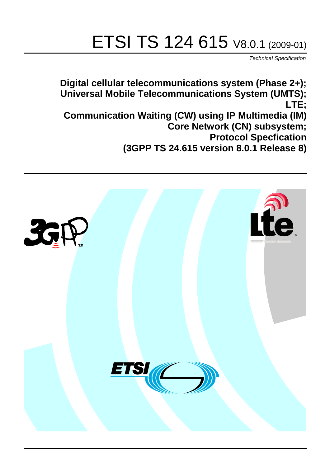# ETSI TS 124 615 V8.0.1 (2009-01)

*Technical Specification*

**Digital cellular telecommunications system (Phase 2+); Universal Mobile Telecommunications System (UMTS); LTE; Communication Waiting (CW) using IP Multimedia (IM) Core Network (CN) subsystem; Protocol Specfication (3GPP TS 24.615 version 8.0.1 Release 8)**

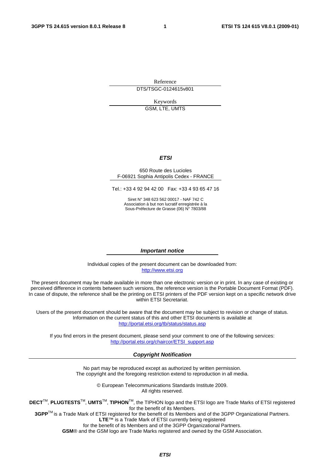Reference DTS/TSGC-0124615v801

Keywords

GSM, LTE, UMTS

#### *ETSI*

#### 650 Route des Lucioles F-06921 Sophia Antipolis Cedex - FRANCE

Tel.: +33 4 92 94 42 00 Fax: +33 4 93 65 47 16

Siret N° 348 623 562 00017 - NAF 742 C Association à but non lucratif enregistrée à la Sous-Préfecture de Grasse (06) N° 7803/88

#### *Important notice*

Individual copies of the present document can be downloaded from: [http://www.etsi.org](http://www.etsi.org/)

The present document may be made available in more than one electronic version or in print. In any case of existing or perceived difference in contents between such versions, the reference version is the Portable Document Format (PDF). In case of dispute, the reference shall be the printing on ETSI printers of the PDF version kept on a specific network drive within ETSI Secretariat.

Users of the present document should be aware that the document may be subject to revision or change of status. Information on the current status of this and other ETSI documents is available at <http://portal.etsi.org/tb/status/status.asp>

If you find errors in the present document, please send your comment to one of the following services: [http://portal.etsi.org/chaircor/ETSI\\_support.asp](http://portal.etsi.org/chaircor/ETSI_support.asp)

#### *Copyright Notification*

No part may be reproduced except as authorized by written permission. The copyright and the foregoing restriction extend to reproduction in all media.

> © European Telecommunications Standards Institute 2009. All rights reserved.

**DECT**TM, **PLUGTESTS**TM, **UMTS**TM, **TIPHON**TM, the TIPHON logo and the ETSI logo are Trade Marks of ETSI registered for the benefit of its Members.

**3GPP**TM is a Trade Mark of ETSI registered for the benefit of its Members and of the 3GPP Organizational Partners. **LTE**™ is a Trade Mark of ETSI currently being registered

for the benefit of its Members and of the 3GPP Organizational Partners.

**GSM**® and the GSM logo are Trade Marks registered and owned by the GSM Association.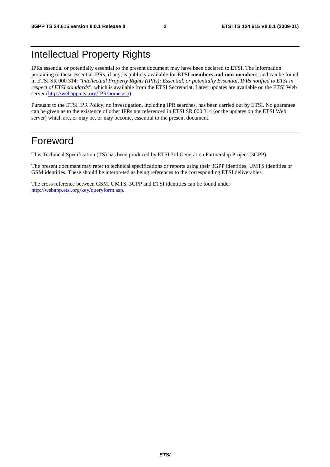# Intellectual Property Rights

IPRs essential or potentially essential to the present document may have been declared to ETSI. The information pertaining to these essential IPRs, if any, is publicly available for **ETSI members and non-members**, and can be found in ETSI SR 000 314: *"Intellectual Property Rights (IPRs); Essential, or potentially Essential, IPRs notified to ETSI in respect of ETSI standards"*, which is available from the ETSI Secretariat. Latest updates are available on the ETSI Web server (<http://webapp.etsi.org/IPR/home.asp>).

Pursuant to the ETSI IPR Policy, no investigation, including IPR searches, has been carried out by ETSI. No guarantee can be given as to the existence of other IPRs not referenced in ETSI SR 000 314 (or the updates on the ETSI Web server) which are, or may be, or may become, essential to the present document.

# Foreword

This Technical Specification (TS) has been produced by ETSI 3rd Generation Partnership Project (3GPP).

The present document may refer to technical specifications or reports using their 3GPP identities, UMTS identities or GSM identities. These should be interpreted as being references to the corresponding ETSI deliverables.

The cross reference between GSM, UMTS, 3GPP and ETSI identities can be found under <http://webapp.etsi.org/key/queryform.asp>.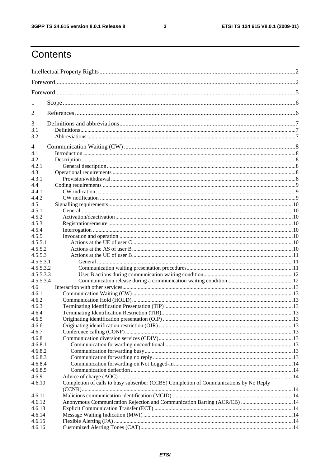$\mathbf{3}$ 

# Contents

| 1         |                                                                                        |  |  |  |  |
|-----------|----------------------------------------------------------------------------------------|--|--|--|--|
| 2         |                                                                                        |  |  |  |  |
| 3         |                                                                                        |  |  |  |  |
| 3.1       |                                                                                        |  |  |  |  |
| 3.2       |                                                                                        |  |  |  |  |
| 4         |                                                                                        |  |  |  |  |
| 4.1       |                                                                                        |  |  |  |  |
| 4.2       |                                                                                        |  |  |  |  |
| 4.2.1     |                                                                                        |  |  |  |  |
| 4.3       |                                                                                        |  |  |  |  |
| 4.3.1     |                                                                                        |  |  |  |  |
| 4.4       |                                                                                        |  |  |  |  |
| 4.4.1     |                                                                                        |  |  |  |  |
| 4.4.2     |                                                                                        |  |  |  |  |
| 4.5       |                                                                                        |  |  |  |  |
| 4.5.1     |                                                                                        |  |  |  |  |
| 4.5.2     |                                                                                        |  |  |  |  |
| 4.5.3     |                                                                                        |  |  |  |  |
| 4.5.4     |                                                                                        |  |  |  |  |
| 4.5.5     |                                                                                        |  |  |  |  |
| 4.5.5.1   |                                                                                        |  |  |  |  |
| 4.5.5.2   |                                                                                        |  |  |  |  |
| 4.5.5.3   |                                                                                        |  |  |  |  |
| 4.5.5.3.1 |                                                                                        |  |  |  |  |
| 4.5.5.3.2 |                                                                                        |  |  |  |  |
| 4.5.5.3.3 |                                                                                        |  |  |  |  |
| 4.5.5.3.4 |                                                                                        |  |  |  |  |
| 4.6       |                                                                                        |  |  |  |  |
| 4.6.1     |                                                                                        |  |  |  |  |
| 4.6.2     |                                                                                        |  |  |  |  |
| 4.6.3     |                                                                                        |  |  |  |  |
| 4.6.4     |                                                                                        |  |  |  |  |
| 4.6.5     |                                                                                        |  |  |  |  |
| 4.6.6     |                                                                                        |  |  |  |  |
| 4.6.7     |                                                                                        |  |  |  |  |
| 4.6.8     |                                                                                        |  |  |  |  |
| 4.6.8.1   |                                                                                        |  |  |  |  |
| 4.6.8.2   |                                                                                        |  |  |  |  |
| 4.6.8.3   |                                                                                        |  |  |  |  |
| 4.6.8.4   |                                                                                        |  |  |  |  |
| 4.6.8.5   |                                                                                        |  |  |  |  |
| 4.6.9     |                                                                                        |  |  |  |  |
| 4.6.10    | Completion of calls to busy subscriber (CCBS) Completion of Communications by No Reply |  |  |  |  |
| 4.6.11    |                                                                                        |  |  |  |  |
| 4.6.12    | Anonymous Communication Rejection and Communication Barring (ACR/CB) 14                |  |  |  |  |
| 4.6.13    |                                                                                        |  |  |  |  |
| 4.6.14    |                                                                                        |  |  |  |  |
| 4.6.15    |                                                                                        |  |  |  |  |
| 4.6.16    |                                                                                        |  |  |  |  |
|           |                                                                                        |  |  |  |  |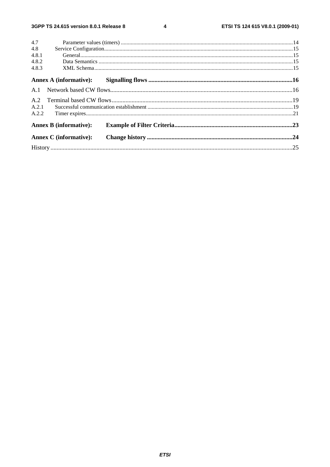$\overline{\mathbf{4}}$ 

| 4.7   |                               |  |
|-------|-------------------------------|--|
| 4.8   |                               |  |
| 4.8.1 |                               |  |
| 4.8.2 |                               |  |
| 4.8.3 |                               |  |
|       | Annex A (informative):        |  |
|       |                               |  |
|       |                               |  |
| A.2.1 |                               |  |
| A.2.2 |                               |  |
|       | <b>Annex B</b> (informative): |  |
|       | <b>Annex C</b> (informative): |  |
|       |                               |  |
|       |                               |  |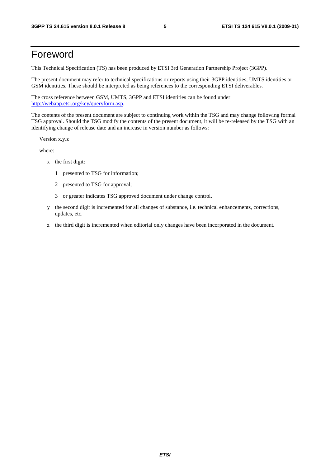# Foreword

This Technical Specification (TS) has been produced by ETSI 3rd Generation Partnership Project (3GPP).

The present document may refer to technical specifications or reports using their 3GPP identities, UMTS identities or GSM identities. These should be interpreted as being references to the corresponding ETSI deliverables.

The cross reference between GSM, UMTS, 3GPP and ETSI identities can be found under <http://webapp.etsi.org/key/queryform.asp>.

The contents of the present document are subject to continuing work within the TSG and may change following formal TSG approval. Should the TSG modify the contents of the present document, it will be re-released by the TSG with an identifying change of release date and an increase in version number as follows:

Version x.y.z

where:

- x the first digit:
	- 1 presented to TSG for information;
	- 2 presented to TSG for approval;
	- 3 or greater indicates TSG approved document under change control.
- y the second digit is incremented for all changes of substance, i.e. technical enhancements, corrections, updates, etc.
- z the third digit is incremented when editorial only changes have been incorporated in the document.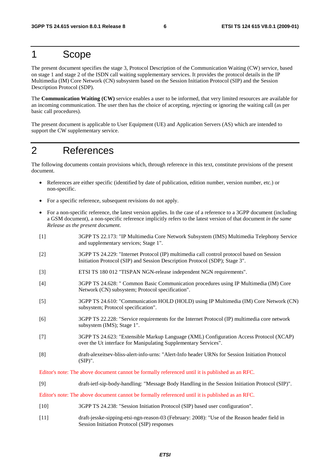# 1 Scope

The present document specifies the stage 3, Protocol Description of the Communication Waiting (CW) service, based on stage 1 and stage 2 of the ISDN call waiting supplementary services. It provides the protocol details in the IP Multimedia (IM) Core Network (CN) subsystem based on the Session Initiation Protocol (SIP) and the Session Description Protocol (SDP).

The **Communication Waiting (CW)** service enables a user to be informed, that very limited resources are available for an incoming communication. The user then has the choice of accepting, rejecting or ignoring the waiting call (as per basic call procedures).

The present document is applicable to User Equipment (UE) and Application Servers (AS) which are intended to support the CW supplementary service.

# 2 References

The following documents contain provisions which, through reference in this text, constitute provisions of the present document.

- References are either specific (identified by date of publication, edition number, version number, etc.) or non-specific.
- For a specific reference, subsequent revisions do not apply.
- For a non-specific reference, the latest version applies. In the case of a reference to a 3GPP document (including a GSM document), a non-specific reference implicitly refers to the latest version of that document *in the same Release as the present document*.
- [1] 3GPP TS 22.173: "IP Multimedia Core Network Subsystem (IMS) Multimedia Telephony Service and supplementary services; Stage 1".
- [2] 3GPP TS 24.229: "Internet Protocol (IP) multimedia call control protocol based on Session Initiation Protocol (SIP) and Session Description Protocol (SDP); Stage 3".
- [3] ETSI TS 180 012 "TISPAN NGN-release independent NGN requirements".
- [4] 3GPP TS 24.628: " Common Basic Communication procedures using IP Multimedia (IM) Core Network (CN) subsystem; Protocol specification".
- [5] 3GPP TS 24.610: "Communication HOLD (HOLD) using IP Multimedia (IM) Core Network (CN) subsystem; Protocol specification".
- [6] 3GPP TS 22.228: "Service requirements for the Internet Protocol (IP) multimedia core network subsystem (IMS); Stage 1".
- [7] 3GPP TS 24.623: "Extensible Markup Language (XML) Configuration Access Protocol (XCAP) over the Ut interface for Manipulating Supplementary Services".
- [8] draft-alexeitsev-bliss-alert-info-urns: "Alert-Info header URNs for Session Initiation Protocol (SIP)".

Editor's note: The above document cannot be formally referenced until it is published as an RFC.

[9] draft-ietf-sip-body-handling: "Message Body Handling in the Session Initiation Protocol (SIP)".

Editor's note: The above document cannot be formally referenced until it is published as an RFC.

- [10] 3GPP TS 24.238: "Session Initiation Protocol (SIP) based user configuration".
- [11] draft-jesske-sipping-etsi-ngn-reason-03 (February: 2008): "Use of the Reason header field in Session Initiation Protocol (SIP) responses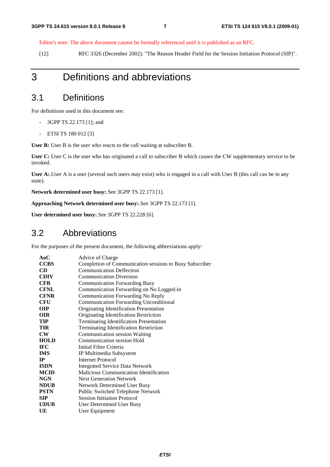Editor's note: The above document cannot be formally referenced until it is published as an RFC.

[12] RFC 3326 (December 2002): "The Reason Header Field for the Session Initiation Protocol (SIP)".

# 3 Definitions and abbreviations

### 3.1 Definitions

For definitions used in this document see:

- 3GPP TS 22.173 [1]; and
- ETSI TS 180 012 [3]

**User B:** User B is the user who reacts to the call waiting at subscriber B.

**User C:** User C is the user who has originated a call to subscriber B which causes the CW supplementary service to be invoked.

**User A:**.User A is a user (several such users may exist) who is engaged in a call with User B (this call can be in any state).

**Network determined user busy:**.See 3GPP TS 22.173 [1].

#### **Approaching Network determined user busy:**.See 3GPP TS 22.173 [1].

**User determined user busy:**.See 3GPP TS 22.228 [6].

### 3.2 Abbreviations

For the purposes of the present document, the following abbreviations apply:

| AoC         | Advice of Charge                                        |
|-------------|---------------------------------------------------------|
| <b>CCBS</b> | Completion of Communication sessions to Busy Subscriber |
| <b>CD</b>   | <b>Communication Deflection</b>                         |
| <b>CDIV</b> | <b>Communication Diversion</b>                          |
| <b>CFB</b>  | <b>Communication Forwarding Busy</b>                    |
| <b>CFNL</b> | Communication Forwarding on No Logged-in                |
| <b>CFNR</b> | <b>Communication Forwarding No Reply</b>                |
| <b>CFU</b>  | <b>Communication Forwarding Unconditional</b>           |
| OIP         | Originating Identification Presentation                 |
| <b>OIR</b>  | Originating Identification Restriction                  |
| TIP         | <b>Terminating Identification Presentation</b>          |
| TIR         | <b>Terminating Identification Restriction</b>           |
| ${\bf CW}$  | <b>Communication session Waiting</b>                    |
| <b>HOLD</b> | Communication session Hold                              |
| <b>IFC</b>  | Initial Filter Criteria                                 |
| <b>IMS</b>  | IP Multimedia Subsystem                                 |
| $_{\rm IP}$ | Internet Protocol                                       |
| <b>ISDN</b> | <b>Integrated Service Data Network</b>                  |
| <b>MCID</b> | <b>Malicious Communication Identification</b>           |
| <b>NGN</b>  | <b>Next Generation Network</b>                          |
| <b>NDUB</b> | <b>Network Determined User Busy</b>                     |
| <b>PSTN</b> | Public Switched Telephone Network                       |
| SIP.        | <b>Session Initiation Protocol</b>                      |
| <b>UDUB</b> | User Determined User Busy                               |
| UE          | User Equipment                                          |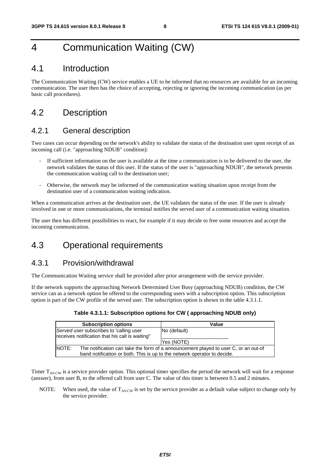# 4 Communication Waiting (CW)

### 4.1 Introduction

The Communication Waiting (CW) service enables a UE to be informed that no resources are available for an incoming communication. The user then has the choice of accepting, rejecting or ignoring the incoming communication (as per basic call procedures).

### 4.2 Description

#### 4.2.1 General description

Two cases can occur depending on the network's ability to validate the status of the destination user upon receipt of an incoming call (i.e. "approaching NDUB" condition):

- If sufficient information on the user is available at the time a communication is to be delivered to the user, the network validates the status of this user. If the status of the user is "approaching NDUB", the network presents the communication waiting call to the destination user;
- Otherwise, the network may be informed of the communication waiting situation upon receipt from the destination user of a communication waiting indication.

When a communication arrives at the destination user, the UE validates the status of the user. If the user is already involved in one or more communications, the terminal notifies the served user of a communication waiting situation.

The user then has different possibilities to react, for example if it may decide to free some resources and accept the incoming communication.

### 4.3 Operational requirements

#### 4.3.1 Provision/withdrawal

The Communication Waiting service shall be provided after prior arrangement with the service provider.

If the network supports the approaching Network Determined User Busy (approaching NDUB) condition, the CW service can as a network option be offered to the corresponding users with a subscription option. This subscription option is part of the CW profile of the served user. The subscription option is shown in the table 4.3.1.1.

#### **Table 4.3.1.1: Subscription options for CW ( approaching NDUB only)**

| <b>Subscription options</b>                                                                | Value                                                                               |  |  |
|--------------------------------------------------------------------------------------------|-------------------------------------------------------------------------------------|--|--|
| Served user subscribes to 'calling user<br>receives notification that his call is waiting" | No (default)                                                                        |  |  |
|                                                                                            | Yes (NOTE)                                                                          |  |  |
| <b>NOTE:</b>                                                                               | The notification can take the form of a announcement played to user C, or an out-of |  |  |
| band notification or both. This is up to the network operator to decide.                   |                                                                                     |  |  |

Timer  $T_{AS-CW}$  is a service provider option. This optional timer specifies the period the network will wait for a response (answer), from user B, to the offered call from user C. The value of this timer is between 0.5 and 2 minutes.

NOTE: When used, the value of  $T_{AS-CW}$  is set by the service provider as a default value subject to change only by the service provider.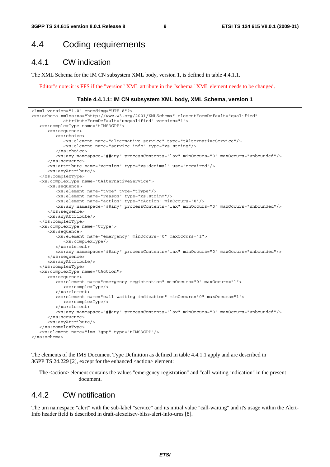### 4.4 Coding requirements

#### 4.4.1 CW indication

The XML Schema for the IM CN subsystem XML body, version 1, is defined in table 4.4.1.1.

Editor"s note: it is FFS if the "version" XML attribute in the "schema" XML element needs to be changed.

#### **Table 4.4.1.1: IM CN subsystem XML body, XML Schema, version 1**

```
<?xml version="1.0" encoding="UTF-8"?> 
<xs:schema xmlns:xs="http://www.w3.org/2001/XMLSchema" elementFormDefault="qualified" 
            attributeFormDefault="unqualified" version="1"> 
    <xs:complexType name="tIMS3GPP"> 
      <xs:sequence> 
          <xs:choice> 
             <xs:element name="alternative-service" type="tAlternativeService"/> 
             <xs:element name="service-info" type="xs:string"/> 
          </xs:choice> 
          <xs:any namespace="##any" processContents="lax" minOccurs="0" maxOccurs="unbounded"/> 
       </xs:sequence> 
       <xs:attribute name="version" type="xs:decimal" use="required"/> 
       <xs:anyAttribute/> 
    </xs:complexType> 
    <xs:complexType name="tAlternativeService"> 
       <xs:sequence> 
          <xs:element name="type" type="tType"/> 
 <xs:element name="reason" type="xs:string"/> 
 <xs:element name="action" type="tAction" minOccurs="0"/> 
          <xs:any namespace="##any" processContents="lax" minOccurs="0" maxOccurs="unbounded"/> 
       </xs:sequence> 
       <xs:anyAttribute/> 
    </xs:complexType> 
    <xs:complexType name="tType"> 
       <xs:sequence> 
          <xs:element name="emergency" minOccurs="0" maxOccurs="1"> 
             <xs:complexType/> 
          </xs:element> 
          <xs:any namespace="##any" processContents="lax" minOccurs="0" maxOccurs="unbounded"/> 
       </xs:sequence> 
       <xs:anyAttribute/> 
    </xs:complexType> 
    <xs:complexType name="tAction"> 
       <xs:sequence> 
          <xs:element name="emergency-registration" minOccurs="0" maxOccurs="1"> 
             <xs:complexType/> 
          </xs:element> 
          <xs:element name="call-waiting-indication" minOccurs="0" maxOccurs="1"> 
             <xs:complexType/> 
          </xs:element> 
          <xs:any namespace="##any" processContents="lax" minOccurs="0" maxOccurs="unbounded"/> 
       </xs:sequence> 
       <xs:anyAttribute/> 
    </xs:complexType> 
    <xs:element name="ims-3gpp" type="tIMS3GPP"/> 
</xs:schema>
```
The elements of the IMS Document Type Definition as defined in table 4.4.1.1 apply and are described in 3GPP TS 24.229 [2], except for the enhanced <action> element:

The <action> element contains the values "emergency-registration" and "call-waiting-indication" in the present document.

#### 4.4.2 CW notification

The urn namespace "alert" with the sub-label "service" and its initial value "call-waiting" and it's usage within the Alert-Info header field is described in draft-alexeitsev-bliss-alert-info-urns [8].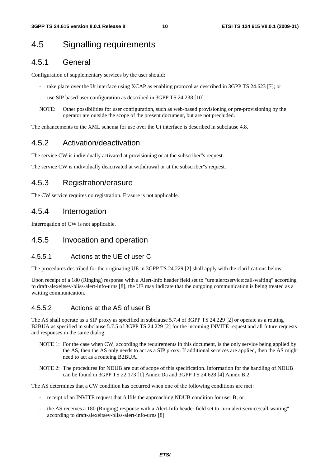# 4.5 Signalling requirements

#### 4.5.1 General

Configuration of supplementary services by the user should:

- take place over the Ut interface using XCAP as enabling protocol as described in 3GPP TS 24.623 [7]; or
- use SIP based user configuration as described in 3GPP TS 24.238 [10].
- NOTE: Other possibilities for user configuration, such as web-based provisioning or pre-provisioning by the operator are outside the scope of the present document, but are not precluded.

The enhancements to the XML schema for use over the Ut interface is described in subclause 4.8.

#### 4.5.2 Activation/deactivation

The service CW is individually activated at provisioning or at the subscriber"s request.

The service CW is individually deactivated at withdrawal or at the subscriber"s request.

#### 4.5.3 Registration/erasure

The CW service requires no registration. Erasure is not applicable.

#### 4.5.4 Interrogation

Interrogation of CW is not applicable.

#### 4.5.5 Invocation and operation

#### 4.5.5.1 Actions at the UE of user C

The procedures described for the originating UE in 3GPP TS 24.229 [2] shall apply with the clarifications below.

Upon receipt of a 180 (Ringing) response with a Alert-Info header field set to "urn:alert:service:call-waiting" according to draft-alexeitsev-bliss-alert-info-urns [8], the UE may indicate that the outgoing communication is being treated as a waiting communication.

#### 4.5.5.2 Actions at the AS of user B

The AS shall operate as a SIP proxy as specified in subclause 5.7.4 of 3GPP TS 24.229 [2] or operate as a routing B2BUA as specified in subclause 5.7.5 of 3GPP TS 24.229 [2] for the incoming INVITE request and all future requests and responses in the same dialog.

- NOTE 1: For the case when CW, according the requirements in this document, is the only service being applied by the AS, then the AS only needs to act as a SIP proxy. If additional services are applied, then the AS might need to act as a routeing B2BUA.
- NOTE 2: The procedures for NDUB are out of scope of this specification. Information for the handling of NDUB can be found in 3GPP TS 22.173 [1] Annex Da and 3GPP TS 24.628 [4] Annex B.2.

The AS determines that a CW condition has occurred when one of the following conditions are met:

- receipt of an INVITE request that fulfils the approaching NDUB condition for user B; or
- the AS receives a 180 (Ringing) response with a Alert-Info header field set to "urn:alert:service:call-waiting" according to draft-alexeitsev-bliss-alert-info-urns [8].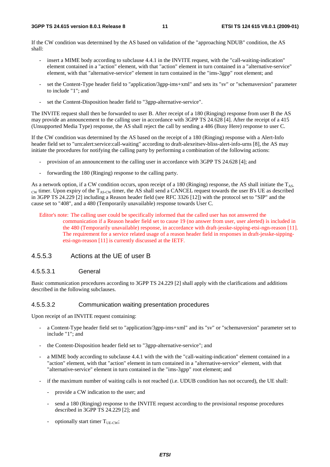If the CW condition was determined by the AS based on validation of the "approaching NDUB" condition, the AS shall:

- insert a MIME body according to subclause 4.4.1 in the INVITE request, with the "call-waiting-indication" element contained in a "action" element, with that "action" element in turn contained in a "alternative-service" element, with that "alternative-service" element in turn contained in the "ims-3gpp" root element; and
- set the Content-Type header field to "application/3gpp-ims+xml" and sets its "sv" or "schemaversion" parameter to include "1"; and
- set the Content-Disposition header field to "3gpp-alternative-service".

The INVITE request shall then be forwarded to user B. After receipt of a 180 (Ringing) response from user B the AS may provide an announcement to the calling user in accordance with 3GPP TS 24.628 [4]. After the receipt of a 415 (Unsupported Media Type) response, the AS shall reject the call by sending a 486 (Busy Here) response to user C.

If the CW condition was determined by the AS based on the receipt of a 180 (Ringing) response with a Alert-Info header field set to "urn:alert:service:call-waiting" according to draft-alexeitsev-bliss-alert-info-urns [8], the AS may initiate the procedures for notifying the calling party by performing a combination of the following actions:

- provision of an announcement to the calling user in accordance with 3GPP TS 24.628 [4]; and
- forwarding the 180 (Ringing) response to the calling party.

As a network option, if a CW condition occurs, upon receipt of a 180 (Ringing) response, the AS shall initiate the  $T_{AS}$  $_{\text{CW}}$  timer. Upon expiry of the T<sub>AS-CW</sub> timer, the AS shall send a CANCEL request towards the user B's UE as described in 3GPP TS 24.229 [2] including a Reason header field (see RFC 3326 [12]) with the protocol set to "SIP" and the cause set to "408", and a 480 (Temporarily unavailable) response towards User C.

Editor's note: The calling user could be specifically informed that the called user has not answered the communication if a Reason header field set to cause 19 (no answer from user, user alerted) is included in the 480 (Temporarily unavailable) response, in accordance with draft-jesske-sipping-etsi-ngn-reason [11]. The requirement for a service related usage of a reason header field in responses in draft-jesske-sippingetsi-ngn-reason [11] is currently discussed at the IETF.

#### 4.5.5.3 Actions at the UE of user B

#### 4.5.5.3.1 General

Basic communication procedures according to 3GPP TS 24.229 [2] shall apply with the clarifications and additions described in the following subclauses.

#### 4.5.5.3.2 Communication waiting presentation procedures

Upon receipt of an INVITE request containing:

- a Content-Type header field set to "application/3gpp-ims+xml" and its "sv" or "schemaversion" parameter set to include "1"; and
- the Content-Disposition header field set to "3gpp-alternative-service"; and
- a MIME body according to subclause 4.4.1 with the with the "call-waiting-indication" element contained in a "action" element, with that "action" element in turn contained in a "alternative-service" element, with that "alternative-service" element in turn contained in the "ims-3gpp" root element; and
- if the maximum number of waiting calls is not reached (i.e. UDUB condition has not occured), the UE shall:
	- provide a CW indication to the user; and
	- send a 180 (Ringing) response to the INVITE request according to the provisional response procedures described in 3GPP TS 24.229 [2]; and
	- optionally start timer  $T_{UE-CW}$ ;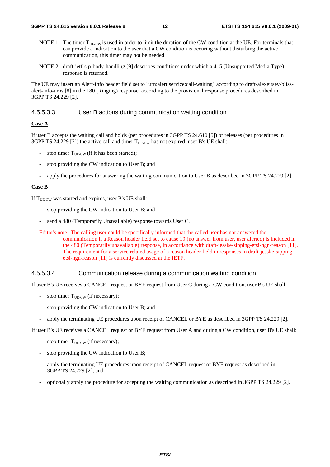- NOTE 1: The timer  $T_{UE-CW}$  is used in order to limit the duration of the CW condition at the UE. For terminals that can provide a indication to the user that a CW condition is occuring without disturbing the active communication, this timer may not be needed.
- NOTE 2: draft-ietf-sip-body-handling [9] describes conditions under which a 415 (Unsupported Media Type) response is returned.

The UE may insert an Alert-Info header field set to "urn:alert:service:call-waiting" according to draft-alexeitsev-blissalert-info-urns [8] in the 180 (Ringing) response, according to the provisional response procedures described in 3GPP TS 24.229 [2].

#### 4.5.5.3.3 User B actions during communication waiting condition

#### **Case A**

If user B accepts the waiting call and holds (per procedures in 3GPP TS 24.610 [5]) or releases (per procedures in 3GPP TS 24.229 [2]) the active call and timer  $T_{UE-CW}$  has not expired, user B's UE shall:

- stop timer  $T_{UE-CW}$  (if it has been started);
- stop providing the CW indication to User B; and
- apply the procedures for answering the waiting communication to User B as described in 3GPP TS 24.229 [2].

#### **Case B**

If  $T_{\text{UE-CW}}$  was started and expires, user B's UE shall:

- stop providing the CW indication to User B; and
- send a 480 (Temporarily Unavailable) response towards User C.
- Editor's note: The calling user could be specifically informed that the called user has not answered the communication if a Reason header field set to cause 19 (no answer from user, user alerted) is included in the 480 (Temporarily unavailable) response, in accordance with draft-jesske-sipping-etsi-ngn-reason [11]. The requirement for a service related usage of a reason header field in responses in draft-jesske-sippingetsi-ngn-reason [11] is currently discussed at the IETF.

#### 4.5.5.3.4 Communication release during a communication waiting condition

If user B's UE receives a CANCEL request or BYE request from User C during a CW condition, user B's UE shall:

- stop timer  $T_{UE-CW}$  (if necessary);
- stop providing the CW indication to User B; and
- apply the terminating UE procedures upon receipt of CANCEL or BYE as described in 3GPP TS 24.229 [2].

If user B's UE receives a CANCEL request or BYE request from User A and during a CW condition, user B's UE shall:

- stop timer  $T_{UE-CW}$  (if necessary);
- stop providing the CW indication to User B;
- apply the terminating UE procedures upon receipt of CANCEL request or BYE request as described in 3GPP TS 24.229 [2]; and
- optionally apply the procedure for accepting the waiting communication as described in 3GPP TS 24.229 [2].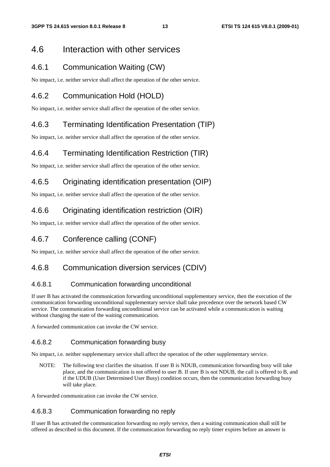### 4.6 Interaction with other services

### 4.6.1 Communication Waiting (CW)

No impact, i.e. neither service shall affect the operation of the other service.

### 4.6.2 Communication Hold (HOLD)

No impact, i.e. neither service shall affect the operation of the other service.

### 4.6.3 Terminating Identification Presentation (TIP)

No impact, i.e. neither service shall affect the operation of the other service.

### 4.6.4 Terminating Identification Restriction (TIR)

No impact, i.e. neither service shall affect the operation of the other service.

### 4.6.5 Originating identification presentation (OIP)

No impact, i.e. neither service shall affect the operation of the other service.

### 4.6.6 Originating identification restriction (OIR)

No impact, i.e. neither service shall affect the operation of the other service.

### 4.6.7 Conference calling (CONF)

No impact, i.e. neither service shall affect the operation of the other service.

### 4.6.8 Communication diversion services (CDIV)

#### 4.6.8.1 Communication forwarding unconditional

If user B has activated the communication forwarding unconditional supplementary service, then the execution of the communication forwarding unconditional supplementary service shall take precedence over the network based CW service. The communication forwarding unconditional service can be activated while a communication is waiting without changing the state of the waiting communication.

A forwarded communication can invoke the CW service.

#### 4.6.8.2 Communication forwarding busy

No impact, i.e. neither supplementary service shall affect the operation of the other supplementary service.

NOTE: The following text clarifies the situation. If user B is NDUB, communication forwarding busy will take place, and the communication is not offered to user B. If user B is not NDUB, the call is offered to B, and if the UDUB (User Determined User Busy) condition occurs, then the communication forwarding busy will take place.

A forwarded communication can invoke the CW service.

#### 4.6.8.3 Communication forwarding no reply

If user B has activated the communication forwarding no reply service, then a waiting communication shall still be offered as described in this document. If the communication forwarding no reply timer expires before an answer is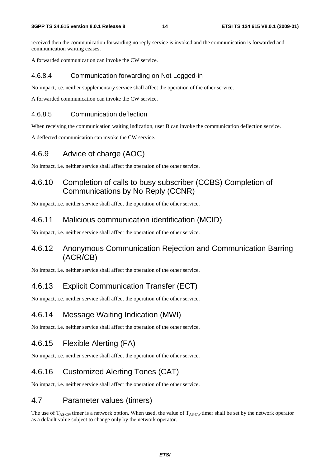received then the communication forwarding no reply service is invoked and the communication is forwarded and communication waiting ceases.

A forwarded communication can invoke the CW service.

#### 4.6.8.4 Communication forwarding on Not Logged-in

No impact, i.e. neither supplementary service shall affect the operation of the other service.

A forwarded communication can invoke the CW service.

#### 4.6.8.5 Communication deflection

When receiving the communication waiting indication, user B can invoke the communication deflection service.

A deflected communication can invoke the CW service.

### 4.6.9 Advice of charge (AOC)

No impact, i.e. neither service shall affect the operation of the other service.

### 4.6.10 Completion of calls to busy subscriber (CCBS) Completion of Communications by No Reply (CCNR)

No impact, i.e. neither service shall affect the operation of the other service.

#### 4.6.11 Malicious communication identification (MCID)

No impact, i.e. neither service shall affect the operation of the other service.

### 4.6.12 Anonymous Communication Rejection and Communication Barring (ACR/CB)

No impact, i.e. neither service shall affect the operation of the other service.

### 4.6.13 Explicit Communication Transfer (ECT)

No impact, i.e. neither service shall affect the operation of the other service.

### 4.6.14 Message Waiting Indication (MWI)

No impact, i.e. neither service shall affect the operation of the other service.

### 4.6.15 Flexible Alerting (FA)

No impact, i.e. neither service shall affect the operation of the other service.

### 4.6.16 Customized Alerting Tones (CAT)

No impact, i.e. neither service shall affect the operation of the other service.

### 4.7 Parameter values (timers)

The use of  $T_{AS-CW}$  timer is a network option. When used, the value of  $T_{AS-CW}$  timer shall be set by the network operator as a default value subject to change only by the network operator.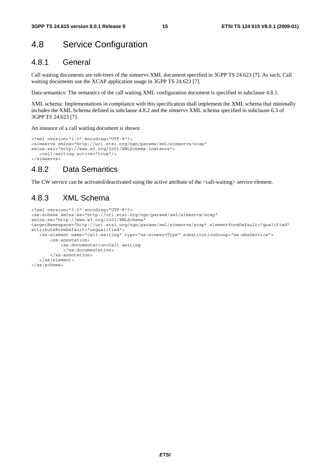# 4.8 Service Configuration

#### 4.8.1 General

Call waiting documents are sub-trees of the simservs XML document specified in 3GPP TS 24.623 [7]. As such, Call waiting documents use the XCAP application usage in 3GPP TS 24.623 [7].

Data semantics: The semantics of the call waiting XML configuration document is specified in subclause 4.8.1.

XML schema: Implementations in compliance with this specification shall implement the XML schema that minimally includes the XML Schema defined in subclause 4.8.2 and the *simservs* XML schema specified in subclause 6.3 of 3GPP TS 24.623 [7].

An instance of a call waiting document is shown:

```
<?xml version="1.0" encoding="UTF-8"?> 
<simservs xmlns="http://uri.etsi.org/ngn/params/xml/simservs/xcap" 
xmlns:xsi="http://www.w3.org/2001/XMLSchema-instance"> 
    <call-waiting active="true"/> 
</simservs>
```
### 4.8.2 Data Semantics

The CW service can be activated/deactivated using the active attribute of the <call-waiting> service element.

### 4.8.3 XML Schema

```
<?xml version="1.0" encoding="UTF-8"?> 
<xs:schema xmlns:ss="http://uri.etsi.org/ngn/params/xml/simservs/xcap" 
xmlns:xs="http://www.w3.org/2001/XMLSchema" 
targetNamespace="http://uri.etsi.org/ngn/params/xml/simservs/xcap" elementFormDefault="qualified" 
attributeFormDefault="unqualified"> 
    <xs:element name="call-waiting" type="ss:simservType" substitutionGroup="ss:absService"> 
        <xs:annotation> 
            <xs:documentation>Call waiting 
             </xs:documentation> 
        </xs:annotation> 
    </xs:element> 
</xs:schema>
```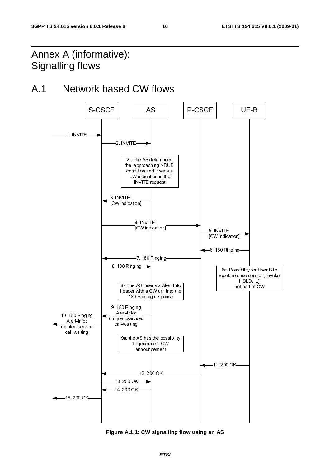# Annex A (informative): Signalling flows

# A.1 Network based CW flows



**Figure A.1.1: CW signalling flow using an AS**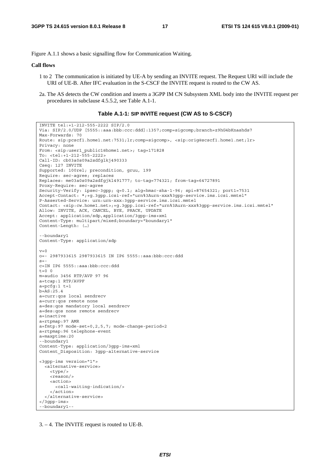Figure A.1.1 shows a basic signalling flow for Communication Waiting.

#### **Call flows**

- 1 to 2 The communication is initiated by UE-A by sending an INVITE request. The Request URI will include the URI of UE-B. After IFC evaluation in the S-CSCF the INVITE request is routed to the CW AS.
- 2a. The AS detects the CW condition and inserts a 3GPP IM CN Subsystem XML body into the INVITE request per procedures in subclause 4.5.5.2, see Table A.1-1.

#### **Table A.1-1: SIP INVITE request (CW AS to S-CSCF)**

```
INVITE tel:+1-212-555-2222 SIP/2.0 
Via: SIP/2.0/UDP [5555::aaa:bbb:ccc:ddd]:1357;comp=sigcomp;branch=z9hG4bKnashds7 
Max-Forwards: 70 
Route: sip:pcscf1.home1.net:7531;lr;comp=sigcomp>, <sip:orig@scscf1.home1.net;lr> 
Privacy: none 
From: <sip:user1_public1@home1.net>; tag=171828 
To: <tel:+1-212-555-2222> 
Call-ID: cb03a0s09a2sdfglkj490333 
Cseq: 127 INVITE 
Supported: 100rel; precondition, gruu, 199 
Require: sec-agree; replaces 
Replaces: me03a0s09a2sdfgjkl491777; to-tag=774321; from-tag=64727891 
Proxy-Require: sec-agree 
Security-Verify: ipsec-3gpp; q=0.1; alg=hmac-sha-1-96; spi=87654321; port1=7531 
Accept-Contact: *;+g.3gpp.icsi-ref="urn%3Aurn-xxx%3gpp-service.ims.icsi.mmtel" 
P-Asserted-Service: urn:urn-xxx:3gpp-service.ims.icsi.mmtel 
Contact: <sip:cw.home1.net>;+g.3gpp.icsi-ref="urn%3Aurn-xxx%3gpp-service.ims.icsi.mmtel" 
Allow: INVITE, ACK, CANCEL, BYE, PRACK, UPDATE 
Accept: application/sdp,application/3gpp-ims+xml 
Content-Type: multipart/mixed;boundary="boundary1" 
Content-Length: (…) 
--boundary1 
Content-Type: application/sdp 
v=0o=- 2987933615 2987933615 IN IP6 5555::aaa:bbb:ccc:ddd 
s=-c=IN IP6 5555::aaa:bbb:ccc:ddd 
t=0 0
m=audio 3456 RTP/AVP 97 96 
a=tcap:1 RTP/AVPF 
a = pcfg:1 t=1h=AS:25.4a=curr:qos local sendrecv 
a=curr:qos remote none 
a=des:qos mandatory local sendrecv 
a=des:qos none remote sendrecv 
a=inactive 
a=rtpmap:97 AMR 
a=fmtp:97 mode-set=0,2,5,7; mode-change-period=2 
a=rtpmap:96 telephone-event 
a=maxptime:20 
--boundary1 
Content-Type: application/3gpp-ims+xml 
Content_Disposition: 3gpp-alternative-service 
<3gpp-ims version="1"> 
  <alternative-service> 
     <type/> 
     <reason/> 
     <action> 
       <call-waiting-indication/> 
     </action> 
   </alternative-service> 
</3gpp-ims> 
--boundary1--
```
<sup>3. – 4.</sup> The INVITE request is routed to UE-B.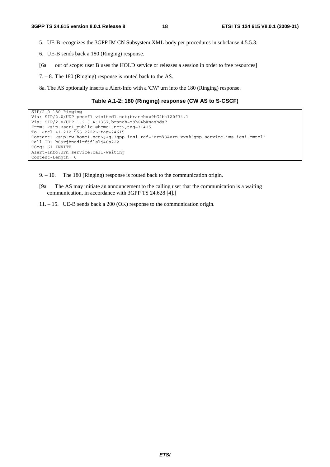- 5. UE-B recognizes the 3GPP IM CN Subsystem XML body per procedures in subclause 4.5.5.3.
- 6. UE-B sends back a 180 (Ringing) response.
- [6a. out of scope: user B uses the HOLD service or releases a session in order to free resources]
- 7. 8. The 180 (Ringing) response is routed back to the AS.
- 8a. The AS optionally inserts a Alert-Info with a 'CW' urn into the 180 (Ringing) response.

#### **Table A.1-2: 180 (Ringing) response (CW AS to S-CSCF)**

```
SIP/2.0 180 Ringing 
Via: SIP/2.0/UDP pcscf1.visited1.net;branch=z9hG4bk120f34.1 
Via: SIP/2.0/UDP 1.2.3.4:1357;branch=z9hG4bKnashds7 
From: <sip:user1_public1@home1.net>;tag=31415 
To: <tel:+1-212-555-2222>;tag=24615 
Contact: <sip:cw.home1.net>;+g.3gpp.icsi-ref="urn%3Aurn-xxx%3gpp-service.ims.icsi.mmtel" 
Call-ID: b89rjhnedlrfjflslj40a222 
CSeq: 61 INVITE 
Alert-Info:urn:service:call-waiting 
Content-Length: 0
```
9. – 10. The 180 (Ringing) response is routed back to the communication origin.

- [9a. The AS may initiate an announcement to the calling user that the communication is a waiting communication, in accordance with 3GPP TS 24.628 [4].]
- 11. 15. UE-B sends back a 200 (OK) response to the communication origin.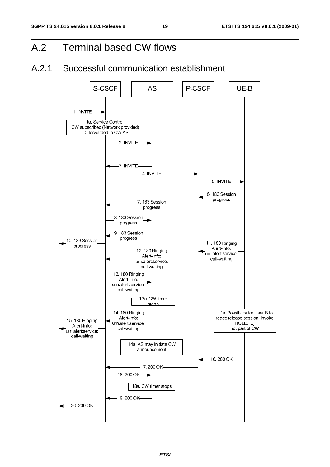# A.2 Terminal based CW flows

# A.2.1 Successful communication establishment

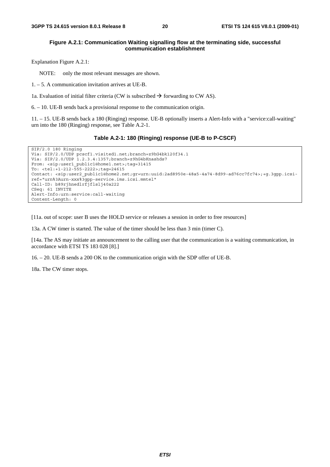#### **Figure A.2.1: Communication Waiting signalling flow at the terminating side, successful communication establishment**

Explanation Figure A.2.1:

NOTE: only the most relevant messages are shown.

1. – 5. A communication invitation arrives at UE-B.

1a. Evaluation of initial filter criteria (CW is subscribed  $\rightarrow$  forwarding to CW AS).

6. – 10. UE-B sends back a provisional response to the communication origin.

11. – 15. UE-B sends back a 180 (Ringing) response. UE-B optionally inserts a Alert-Info with a "service:call-waiting" urn into the 180 (Ringing) response, see Table A.2-1.

#### **Table A.2-1: 180 (Ringing) response (UE-B to P-CSCF)**

```
SIP/2.0 180 Ringing 
Via: SIP/2.0/UDP pcscf1.visited1.net;branch=z9hG4bk120f34.1 
Via: SIP/2.0/UDP 1.2.3.4:1357;branch=z9hG4bKnashds7 
From: <sip:user1 public1@home1.net>;tag=31415
To: <tel:+1-212-555-2222>;tag=24615 
Contact: <sip:user2_public1@home2.net;gr=urn:uuid:2ad8950e-48a5-4a74-8d99-ad76cc7fc74>;+g.3gpp.icsi-
ref="urn%3Aurn-xxx%3gpp-service.ims.icsi.mmtel" 
Call-ID: b89rjhnedlrfjflslj40a222 
CSeq: 61 INVITE 
Alert-Info:urn:service:call-waiting 
Content-Length: 0
```
[11a. out of scope: user B uses the HOLD service or releases a session in order to free resources]

13a. A CW timer is started. The value of the timer should be less than 3 min (timer C).

[14a. The AS may initiate an announcement to the calling user that the communication is a waiting communication, in accordance with ETSI TS 183 028 [8].]

16. – 20. UE-B sends a 200 OK to the communication origin with the SDP offer of UE-B.

18a. The CW timer stops.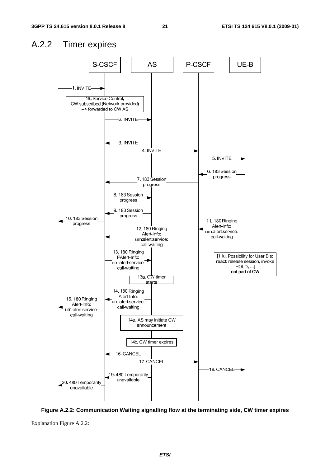### A.2.2 Timer expires



**Figure A.2.2: Communication Waiting signalling flow at the terminating side, CW timer expires** 

Explanation Figure A.2.2: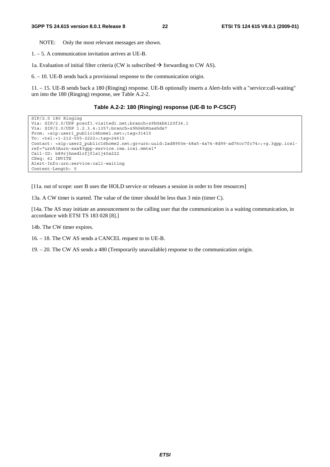NOTE: Only the most relevant messages are shown.

1. – 5. A communication invitation arrives at UE-B.

1a. Evaluation of initial filter criteria (CW is subscribed  $\rightarrow$  forwarding to CW AS).

6. – 10. UE-B sends back a provisional response to the communication origin.

11. – 15. UE-B sends back a 180 (Ringing) response. UE-B optionally inserts a Alert-Info with a "service:call-waiting" urn into the 180 (Ringing) response, see Table A.2-2.

#### **Table A.2-2: 180 (Ringing) response (UE-B to P-CSCF)**

```
SIP/2.0 180 Ringing 
Via: SIP/2.0/UDP pcscf1.visited1.net;branch=z9hG4bk120f34.1 
Via: SIP/2.0/UDP 1.2.3.4:1357;branch=z9hG4bKnashds7 
From: <sip:user1 public1@home1.net>;tag=31415
To: <tel:+1-212-555-2222>;tag=24615 
Contact: <sip:user2_public1@home2.net;gr=urn:uuid:2ad8950e-48a5-4a74-8d99-ad76cc7fc74>;+g.3gpp.icsi-
ref="urn%3Aurn-xxx%3gpp-service.ims.icsi.mmtel" 
Call-ID: b89rjhnedlrfjflslj40a222 
CSeq: 61 INVITE 
Alert-Info:urn:service:call-waiting 
Content-Length: 0
```
[11a. out of scope: user B uses the HOLD service or releases a session in order to free resources]

13a. A CW timer is started. The value of the timer should be less than 3 min (timer C).

[14a. The AS may initiate an announcement to the calling user that the communication is a waiting communication, in accordance with ETSI TS 183 028 [8].]

14b. The CW timer expires.

16. – 18. The CW AS sends a CANCEL request to to UE-B.

19. – 20. The CW AS sends a 480 (Temporarily unavailable) response to the communication origin.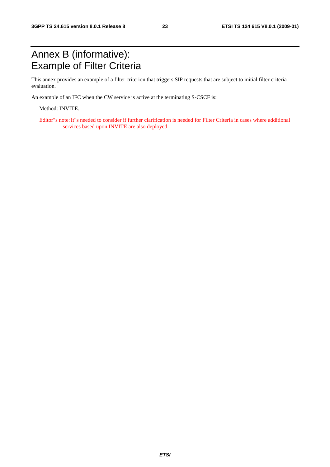# Annex B (informative): Example of Filter Criteria

This annex provides an example of a filter criterion that triggers SIP requests that are subject to initial filter criteria evaluation.

An example of an IFC when the CW service is active at the terminating S-CSCF is:

Method: INVITE.

Editor"s note: It"s needed to consider if further clarification is needed for Filter Criteria in cases where additional services based upon INVITE are also deployed.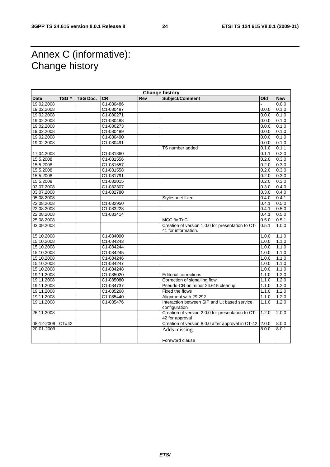# Annex C (informative): Change history

| <b>Change history</b> |       |                 |           |     |                                                   |       |            |
|-----------------------|-------|-----------------|-----------|-----|---------------------------------------------------|-------|------------|
| <b>Date</b>           | TSG#  | <b>TSG Doc.</b> | <b>CR</b> | Rev | Subject/Comment                                   | Old   | <b>New</b> |
| 19.02.2008            |       |                 | C1-080486 |     |                                                   |       | 0.0.0      |
| 19.02.2008            |       |                 | C1-080487 |     |                                                   | 0.0.0 | 0.1.0      |
| 19.02.2008            |       |                 | C1-080271 |     |                                                   | 0.0.0 | 0.1.0      |
| 19.02.2008            |       |                 | C1-080488 |     |                                                   | 0.0.0 | 0.1.0      |
| 19.02.2008            |       |                 | C1-080273 |     |                                                   | 0.0.0 | 0.1.0      |
| 19.02.2008            |       |                 | C1-080489 |     |                                                   | 0.0.0 | 0.1.0      |
| 19.02.2008            |       |                 | C1-080490 |     |                                                   | 0.0.0 | 0.1.0      |
| 19.02.2008            |       |                 | C1-080491 |     |                                                   | 0.0.0 | 0.1.0      |
|                       |       |                 |           |     | TS number added                                   | 0.1.0 | 0.1.1      |
| 17.04.2008            |       |                 | C1-081360 |     |                                                   | 0.1.1 | 0.2.0      |
| 15.5.2008             |       |                 | C1-081556 |     |                                                   | 0.2.0 | 0.3.0      |
| 15.5.2008             |       |                 | C1-081557 |     |                                                   | 0.2.0 | 0.3.0      |
| 15.5.2008             |       |                 | C1-081558 |     |                                                   | 0.2.0 | 0.3.0      |
| 15.5.2008             |       |                 | C1-081791 |     |                                                   | 0.2.0 | 0.3.0      |
| 15.5.2008             |       |                 | C1-082015 |     |                                                   | 0.2.0 | 0.3.0      |
| 03.07.2008            |       |                 | C1-082307 |     |                                                   | 0.3.0 | 0.4.0      |
| 03.07.2008            |       |                 | C1-082780 |     |                                                   | 0.3.0 | 0.4.0      |
| 05.08.2008            |       |                 |           |     | Stylesheet fixed                                  | 0.4.0 | 0.4.1      |
| 22.08.2008            |       |                 | C1-082950 |     |                                                   | 0.4.1 | 0.5.0      |
| 22.08.2008            |       |                 | C1-083228 |     |                                                   | 0.4.1 | 0.5.0      |
| 22.08.2008            |       |                 | C1-083414 |     |                                                   | 0.4.1 | 0.5.0      |
| 25.08.2008            |       |                 |           |     | <b>MCC fix ToC</b>                                | 0.5.0 | 0.5.1      |
| 03.09.2008            |       |                 |           |     | Creation of version 1.0.0 for presentation to CT- | 0.5.1 | 1.0.0      |
|                       |       |                 |           |     | 41 for information.                               |       |            |
| 15.10.2008            |       |                 | C1-084090 |     |                                                   | 1.0.0 | 1.1.0      |
| 15.10.2008            |       |                 | C1-084243 |     |                                                   | 1.0.0 | 1.1.0      |
| 15.10.2008            |       |                 | C1-084244 |     |                                                   | 1.0.0 | 1.1.0      |
| 15.10.2008            |       |                 | C1-084245 |     |                                                   | 1.0.0 | 1.1.0      |
| 15.10.2008            |       |                 | C1-084246 |     |                                                   | 1.0.0 | 1.1.0      |
| 15.10.2008            |       |                 | C1-084247 |     |                                                   | 1.0.0 | 1.1.0      |
| 15.10.2008            |       |                 | C1-084248 |     |                                                   | 1.0.0 | 1.1.0      |
| 19.11.2008            |       |                 | C1-085020 |     | <b>Editorial corrections</b>                      | 1.1.0 | 1.2.0      |
| 19.11.2008            |       |                 | C1-085080 |     | Correction of signalling flow                     | 1.1.0 | 1.2.0      |
| 19.11.2008            |       |                 | C1-084737 |     | Pseudo-CR on minor 24.615 cleanup                 | 1.1.0 | 1.2.0      |
| 19.11.2008            |       |                 | C1-085268 |     | Fixed the flows                                   | 1.1.0 | 1.2.0      |
| 19.11.2008            |       |                 | C1-085440 |     | Alignment with 29.292                             | 1.1.0 | 1.2.0      |
| 19.11.2008            |       |                 | C1-085476 |     | Interaction between SIP and Ut based service      | 1.1.0 | 1.2.0      |
|                       |       |                 |           |     | configuration                                     |       |            |
| 26.11.2008            |       |                 |           |     | Creation of version 2.0.0 for presentation to CT- | 1.2.0 | 2.0.0      |
|                       |       |                 |           |     | 42 for approval                                   |       |            |
| 08-12-2008            | CT#42 |                 |           |     | Creation of version 8.0.0 after approval in CT-42 | 2.0.0 | 8.0.0      |
| 20-01-2009            |       |                 |           |     | Adds missing                                      | 8.0.0 | 8.0.1      |
|                       |       |                 |           |     | Foreword clause                                   |       |            |